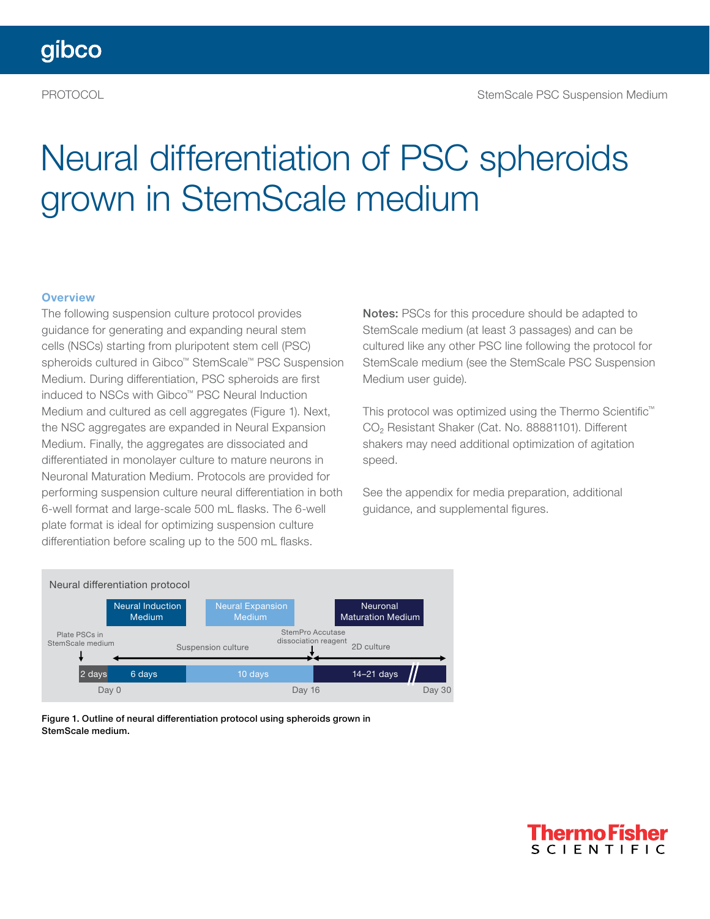# Neural differentiation of PSC spheroids grown in StemScale medium

#### **Overview**

The following suspension culture protocol provides guidance for generating and expanding neural stem cells (NSCs) starting from pluripotent stem cell (PSC) spheroids cultured in Gibco™ StemScale™ PSC Suspension Medium. During differentiation, PSC spheroids are first induced to NSCs with Gibco™ PSC Neural Induction Medium and cultured as cell aggregates (Figure 1). Next, the NSC aggregates are expanded in Neural Expansion Medium. Finally, the aggregates are dissociated and differentiated in monolayer culture to mature neurons in Neuronal Maturation Medium. Protocols are provided for performing suspension culture neural differentiation in both 6-well format and large-scale 500 mL flasks. The 6-well plate format is ideal for optimizing suspension culture differentiation before scaling up to the 500 mL flasks.

Notes: PSCs for this procedure should be adapted to StemScale medium (at least 3 passages) and can be cultured like any other PSC line following the protocol for StemScale medium (see the StemScale PSC Suspension Medium user guide).

This protocol was optimized using the Thermo Scientific™ CO<sub>2</sub> Resistant Shaker (Cat. No. 88881101). Different shakers may need additional optimization of agitation speed.

See the appendix for media preparation, additional guidance, and supplemental figures.



Figure 1. Outline of neural differentiation protocol using spheroids grown in StemScale medium.

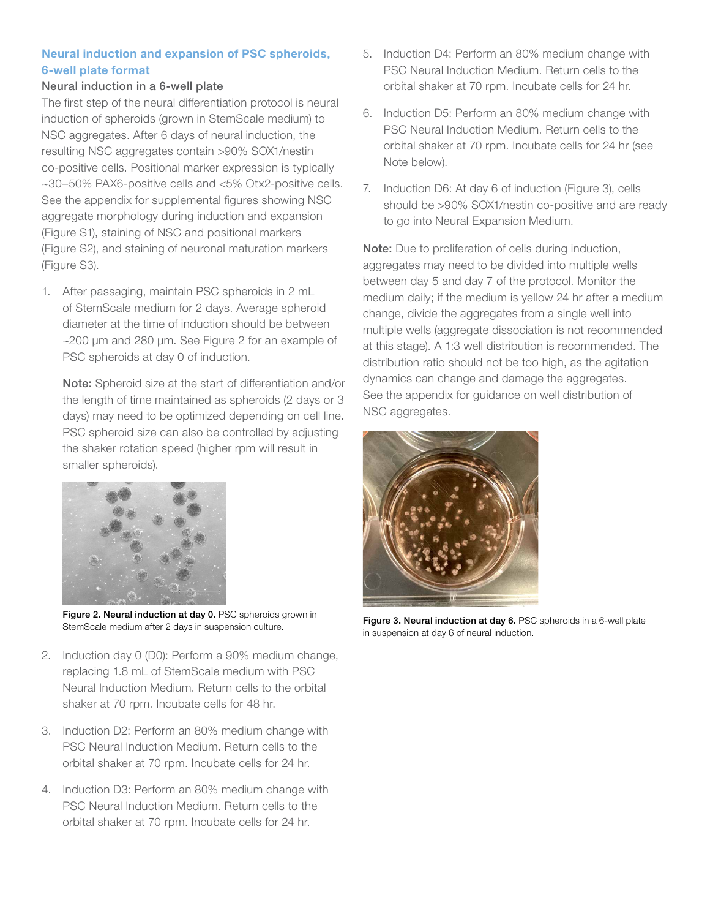#### Neural induction and expansion of PSC spheroids, 6-well plate format

#### Neural induction in a 6-well plate

The first step of the neural differentiation protocol is neural induction of spheroids (grown in StemScale medium) to NSC aggregates. After 6 days of neural induction, the resulting NSC aggregates contain >90% SOX1/nestin co-positive cells. Positional marker expression is typically ~30–50% PAX6-positive cells and <5% Otx2-positive cells. See the appendix for supplemental figures showing NSC aggregate morphology during induction and expansion (Figure S1), staining of NSC and positional markers (Figure S2), and staining of neuronal maturation markers (Figure S3).

1. After passaging, maintain PSC spheroids in 2 mL of StemScale medium for 2 days. Average spheroid diameter at the time of induction should be between ~200 µm and 280 µm. See Figure 2 for an example of PSC spheroids at day 0 of induction.

Note: Spheroid size at the start of differentiation and/or the length of time maintained as spheroids (2 days or 3 days) may need to be optimized depending on cell line. PSC spheroid size can also be controlled by adjusting the shaker rotation speed (higher rpm will result in smaller spheroids).



Figure 2. Neural induction at day 0. PSC spheroids grown in

- 2. Induction day 0 (D0): Perform a 90% medium change, replacing 1.8 mL of StemScale medium with PSC Neural Induction Medium. Return cells to the orbital shaker at 70 rpm. Incubate cells for 48 hr.
- 3. Induction D2: Perform an 80% medium change with PSC Neural Induction Medium. Return cells to the orbital shaker at 70 rpm. Incubate cells for 24 hr.
- 4. Induction D3: Perform an 80% medium change with PSC Neural Induction Medium. Return cells to the orbital shaker at 70 rpm. Incubate cells for 24 hr.
- 5. Induction D4: Perform an 80% medium change with PSC Neural Induction Medium. Return cells to the orbital shaker at 70 rpm. Incubate cells for 24 hr.
- 6. Induction D5: Perform an 80% medium change with PSC Neural Induction Medium. Return cells to the orbital shaker at 70 rpm. Incubate cells for 24 hr (see Note below).
- 7. Induction D6: At day 6 of induction (Figure 3), cells should be >90% SOX1/nestin co-positive and are ready to go into Neural Expansion Medium.

Note: Due to proliferation of cells during induction, aggregates may need to be divided into multiple wells between day 5 and day 7 of the protocol. Monitor the medium daily; if the medium is yellow 24 hr after a medium change, divide the aggregates from a single well into multiple wells (aggregate dissociation is not recommended at this stage). A 1:3 well distribution is recommended. The distribution ratio should not be too high, as the agitation dynamics can change and damage the aggregates. See the appendix for guidance on well distribution of NSC aggregates.



Figure 2. Neural induction at day 0. PSC spheroids grown in Figure 3. Neural induction at day 6. PSC spheroids in a 6-well plate<br>StemScale medium after 2 days in suspension culture. in suspension at day 6 of neural induction.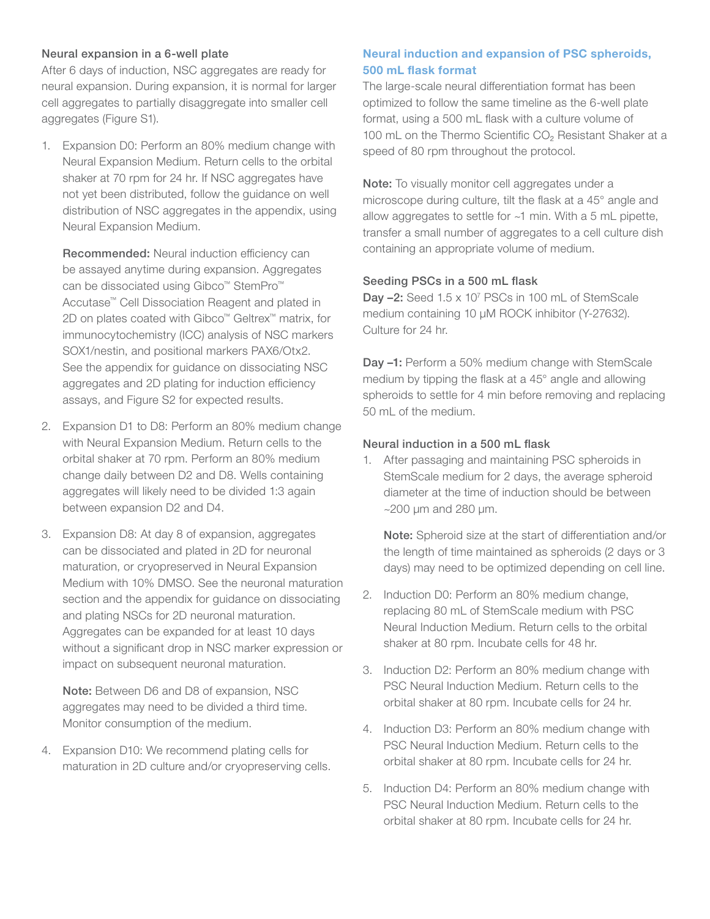#### Neural expansion in a 6-well plate

After 6 days of induction, NSC aggregates are ready for neural expansion. During expansion, it is normal for larger cell aggregates to partially disaggregate into smaller cell aggregates (Figure S1).

1. Expansion D0: Perform an 80% medium change with Neural Expansion Medium. Return cells to the orbital shaker at 70 rpm for 24 hr. If NSC aggregates have not yet been distributed, follow the guidance on well distribution of NSC aggregates in the appendix, using Neural Expansion Medium.

Recommended: Neural induction efficiency can be assayed anytime during expansion. Aggregates can be dissociated using Gibco™ StemPro™ Accutase™ Cell Dissociation Reagent and plated in 2D on plates coated with Gibco™ Geltrex™ matrix, for immunocytochemistry (ICC) analysis of NSC markers SOX1/nestin, and positional markers PAX6/Otx2. See the appendix for guidance on dissociating NSC aggregates and 2D plating for induction efficiency assays, and Figure S2 for expected results.

- 2. Expansion D1 to D8: Perform an 80% medium change with Neural Expansion Medium. Return cells to the orbital shaker at 70 rpm. Perform an 80% medium change daily between D2 and D8. Wells containing aggregates will likely need to be divided 1:3 again between expansion D2 and D4.
- 3. Expansion D8: At day 8 of expansion, aggregates can be dissociated and plated in 2D for neuronal maturation, or cryopreserved in Neural Expansion Medium with 10% DMSO. See the neuronal maturation section and the appendix for guidance on dissociating and plating NSCs for 2D neuronal maturation. Aggregates can be expanded for at least 10 days without a significant drop in NSC marker expression or impact on subsequent neuronal maturation.

Note: Between D6 and D8 of expansion, NSC aggregates may need to be divided a third time. Monitor consumption of the medium.

4. Expansion D10: We recommend plating cells for maturation in 2D culture and/or cryopreserving cells.

### Neural induction and expansion of PSC spheroids, 500 mL flask format

The large-scale neural differentiation format has been optimized to follow the same timeline as the 6-well plate format, using a 500 mL flask with a culture volume of 100 mL on the Thermo Scientific CO<sub>2</sub> Resistant Shaker at a speed of 80 rpm throughout the protocol.

Note: To visually monitor cell aggregates under a microscope during culture, tilt the flask at a 45° angle and allow aggregates to settle for ~1 min. With a 5 mL pipette, transfer a small number of aggregates to a cell culture dish containing an appropriate volume of medium.

#### Seeding PSCs in a 500 mL flask

Day  $-2$ : Seed 1.5 x 10<sup>7</sup> PSCs in 100 mL of StemScale medium containing 10 µM ROCK inhibitor (Y-27632). Culture for 24 hr.

Day -1: Perform a 50% medium change with StemScale medium by tipping the flask at a 45° angle and allowing spheroids to settle for 4 min before removing and replacing 50 mL of the medium.

#### Neural induction in a 500 mL flask

1. After passaging and maintaining PSC spheroids in StemScale medium for 2 days, the average spheroid diameter at the time of induction should be between  $\sim$ 200 µm and 280 µm.

Note: Spheroid size at the start of differentiation and/or the length of time maintained as spheroids (2 days or 3 days) may need to be optimized depending on cell line.

- 2. Induction D0: Perform an 80% medium change, replacing 80 mL of StemScale medium with PSC Neural Induction Medium. Return cells to the orbital shaker at 80 rpm. Incubate cells for 48 hr.
- 3. Induction D2: Perform an 80% medium change with PSC Neural Induction Medium. Return cells to the orbital shaker at 80 rpm. Incubate cells for 24 hr.
- 4. Induction D3: Perform an 80% medium change with PSC Neural Induction Medium. Return cells to the orbital shaker at 80 rpm. Incubate cells for 24 hr.
- 5. Induction D4: Perform an 80% medium change with PSC Neural Induction Medium. Return cells to the orbital shaker at 80 rpm. Incubate cells for 24 hr.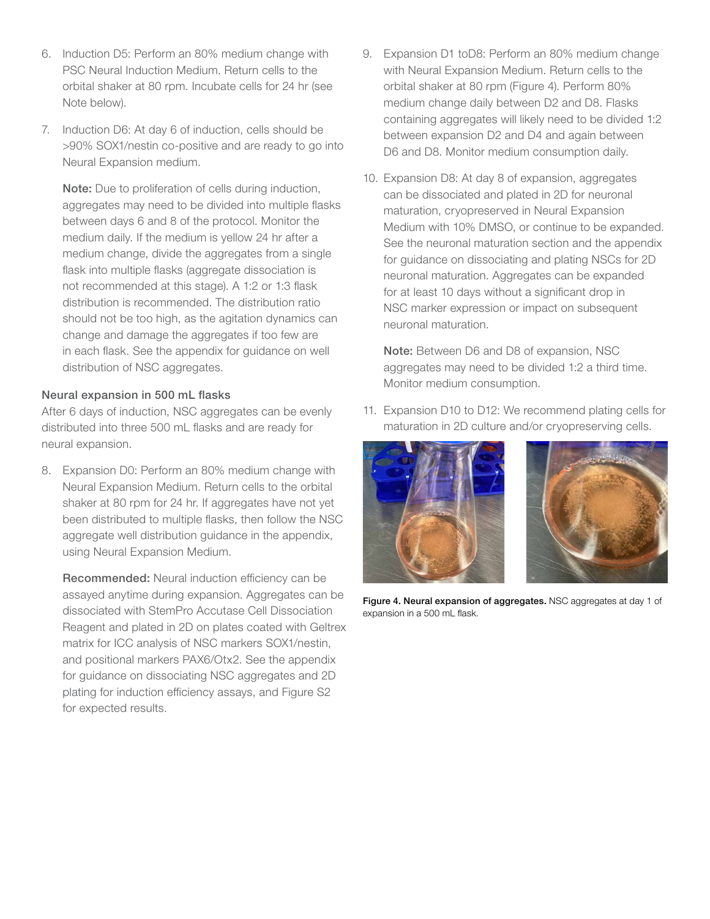- 6. Induction D5: Perform an 80% medium change with PSC Neural Induction Medium. Return cells to the orbital shaker at 80 rpm. Incubate cells for 24 hr (see Note below).
- 7. Induction D6: At day 6 of induction, cells should be >90% SOX1/nestin co-positive and are ready to go into Neural Expansion medium.

Note: Due to proliferation of cells during induction, aggregates may need to be divided into multiple flasks between days 6 and 8 of the protocol. Monitor the medium daily. If the medium is yellow 24 hr after a medium change, divide the aggregates from a single flask into multiple flasks (aggregate dissociation is not recommended at this stage). A 1:2 or 1:3 flask distribution is recommended. The distribution ratio should not be too high, as the agitation dynamics can change and damage the aggregates if too few are in each flask. See the appendix for guidance on well distribution of NSC aggregates.

#### Neural expansion in 500 mL flasks

After 6 days of induction, NSC aggregates can be evenly distributed into three 500 mL flasks and are ready for neural expansion.

8. Expansion D0: Perform an 80% medium change with Neural Expansion Medium. Return cells to the orbital shaker at 80 rpm for 24 hr. If aggregates have not yet been distributed to multiple flasks, then follow the NSC aggregate well distribution guidance in the appendix, using Neural Expansion Medium.

Recommended: Neural induction efficiency can be assayed anytime during expansion. Aggregates can be dissociated with StemPro Accutase Cell Dissociation Reagent and plated in 2D on plates coated with Geltrex matrix for ICC analysis of NSC markers SOX1/nestin, and positional markers PAX6/Otx2. See the appendix for guidance on dissociating NSC aggregates and 2D plating for induction efficiency assays, and Figure S2 for expected results.

- 9. Expansion D1 toD8: Perform an 80% medium change with Neural Expansion Medium. Return cells to the orbital shaker at 80 rpm (Figure 4). Perform 80% medium change daily between D2 and D8. Flasks containing aggregates will likely need to be divided 1:2 between expansion D2 and D4 and again between D6 and D8. Monitor medium consumption daily.
- 10. Expansion D8: At day 8 of expansion, aggregates can be dissociated and plated in 2D for neuronal maturation, cryopreserved in Neural Expansion Medium with 10% DMSO, or continue to be expanded. See the neuronal maturation section and the appendix for guidance on dissociating and plating NSCs for 2D neuronal maturation. Aggregates can be expanded for at least 10 days without a significant drop in NSC marker expression or impact on subsequent neuronal maturation.

Note: Between D6 and D8 of expansion, NSC aggregates may need to be divided 1:2 a third time. Monitor medium consumption.

11. Expansion D10 to D12: We recommend plating cells for maturation in 2D culture and/or cryopreserving cells.





Figure 4. Neural expansion of aggregates. NSC aggregates at day 1 of expansion in a 500 mL flask.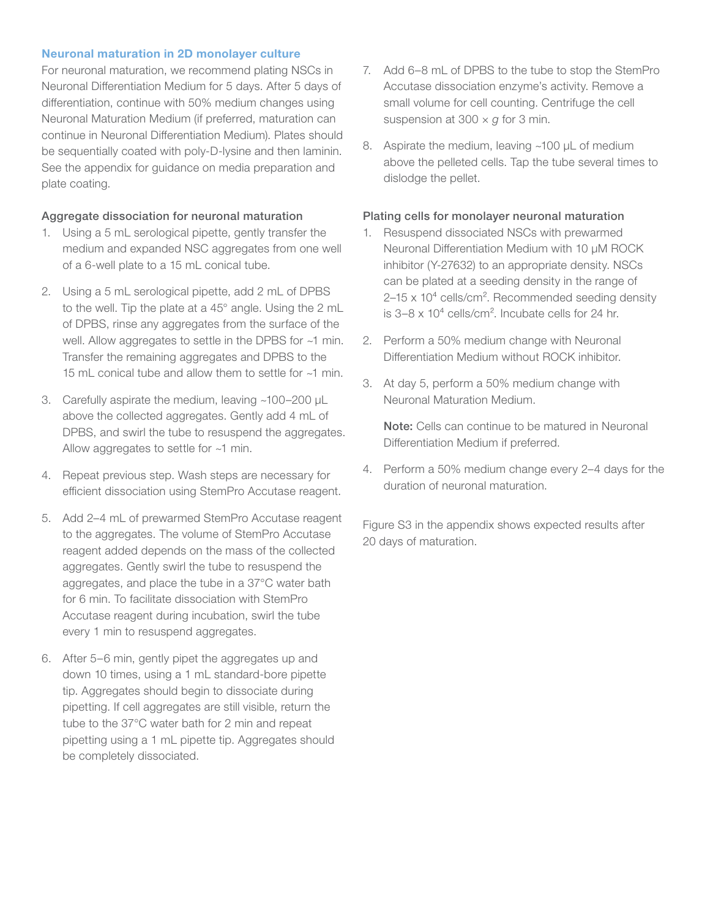#### Neuronal maturation in 2D monolayer culture

For neuronal maturation, we recommend plating NSCs in Neuronal Differentiation Medium for 5 days. After 5 days of differentiation, continue with 50% medium changes using Neuronal Maturation Medium (if preferred, maturation can continue in Neuronal Differentiation Medium). Plates should be sequentially coated with poly-D-lysine and then laminin. See the appendix for guidance on media preparation and plate coating.

#### Aggregate dissociation for neuronal maturation

- 1. Using a 5 mL serological pipette, gently transfer the medium and expanded NSC aggregates from one well of a 6-well plate to a 15 mL conical tube.
- 2. Using a 5 mL serological pipette, add 2 mL of DPBS to the well. Tip the plate at a 45° angle. Using the 2 mL of DPBS, rinse any aggregates from the surface of the well. Allow aggregates to settle in the DPBS for ~1 min. Transfer the remaining aggregates and DPBS to the 15 mL conical tube and allow them to settle for ~1 min.
- 3. Carefully aspirate the medium, leaving ~100–200 µL above the collected aggregates. Gently add 4 mL of DPBS, and swirl the tube to resuspend the aggregates. Allow aggregates to settle for ~1 min.
- 4. Repeat previous step. Wash steps are necessary for efficient dissociation using StemPro Accutase reagent.
- 5. Add 2–4 mL of prewarmed StemPro Accutase reagent to the aggregates. The volume of StemPro Accutase reagent added depends on the mass of the collected aggregates. Gently swirl the tube to resuspend the aggregates, and place the tube in a 37°C water bath for 6 min. To facilitate dissociation with StemPro Accutase reagent during incubation, swirl the tube every 1 min to resuspend aggregates.
- 6. After 5–6 min, gently pipet the aggregates up and down 10 times, using a 1 mL standard-bore pipette tip. Aggregates should begin to dissociate during pipetting. If cell aggregates are still visible, return the tube to the 37°C water bath for 2 min and repeat pipetting using a 1 mL pipette tip. Aggregates should be completely dissociated.
- 7. Add 6–8 mL of DPBS to the tube to stop the StemPro Accutase dissociation enzyme's activity. Remove a small volume for cell counting. Centrifuge the cell suspension at 300 × *g* for 3 min.
- 8. Aspirate the medium, leaving ~100 µL of medium above the pelleted cells. Tap the tube several times to dislodge the pellet.

#### Plating cells for monolayer neuronal maturation

- 1. Resuspend dissociated NSCs with prewarmed Neuronal Differentiation Medium with 10 μM ROCK inhibitor (Y-27632) to an appropriate density. NSCs can be plated at a seeding density in the range of  $2-15 \times 10^4$  cells/cm<sup>2</sup>. Recommended seeding density is  $3-8 \times 10^4$  cells/cm<sup>2</sup>. Incubate cells for 24 hr.
- 2. Perform a 50% medium change with Neuronal Differentiation Medium without ROCK inhibitor.
- 3. At day 5, perform a 50% medium change with Neuronal Maturation Medium.

Note: Cells can continue to be matured in Neuronal Differentiation Medium if preferred.

4. Perform a 50% medium change every 2–4 days for the duration of neuronal maturation.

Figure S3 in the appendix shows expected results after 20 days of maturation.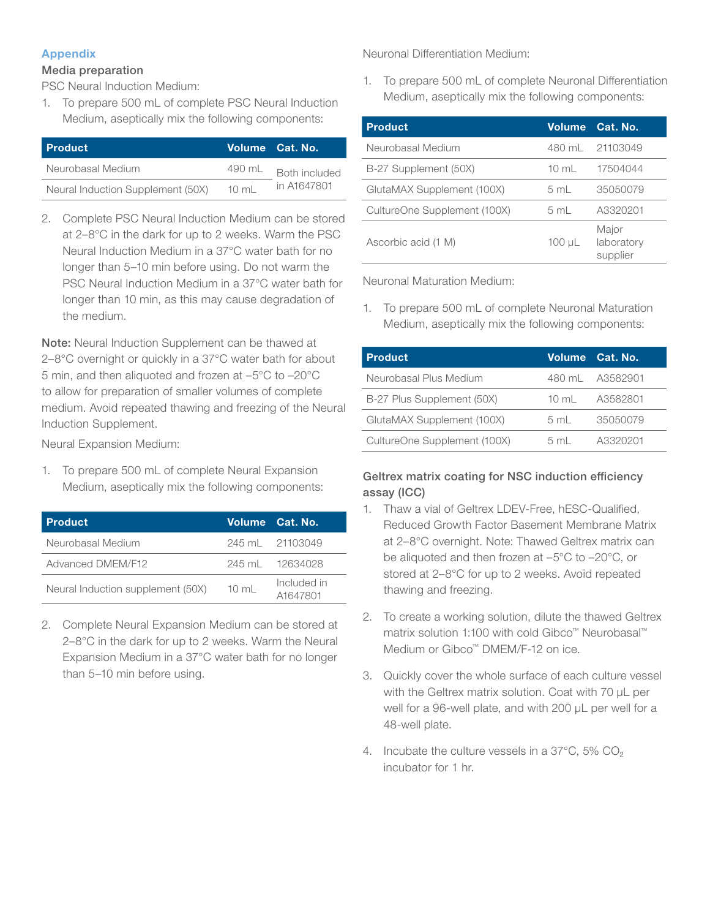#### Appendix

#### Media preparation

PSC Neural Induction Medium:

1. To prepare 500 mL of complete PSC Neural Induction Medium, aseptically mix the following components:

| <b>Product</b>                    |                 | Volume Cat. No.                     |
|-----------------------------------|-----------------|-------------------------------------|
| Neurobasal Medium                 | 490 mL          | <b>Both included</b><br>in A1647801 |
| Neural Induction Supplement (50X) | $10 \text{ ml}$ |                                     |

2. Complete PSC Neural Induction Medium can be stored at 2–8°C in the dark for up to 2 weeks. Warm the PSC Neural Induction Medium in a 37°C water bath for no longer than 5–10 min before using. Do not warm the PSC Neural Induction Medium in a 37°C water bath for longer than 10 min, as this may cause degradation of the medium.

Note: Neural Induction Supplement can be thawed at 2–8°C overnight or quickly in a 37°C water bath for about 5 min, and then aliquoted and frozen at –5°C to –20°C to allow for preparation of smaller volumes of complete medium. Avoid repeated thawing and freezing of the Neural Induction Supplement.

Neural Expansion Medium:

1. To prepare 500 mL of complete Neural Expansion Medium, aseptically mix the following components:

| <b>Product</b>                    |                 | Volume Cat. No.         |
|-----------------------------------|-----------------|-------------------------|
| Neurobasal Medium                 |                 | 245 ml 21103049         |
| Advanced DMEM/F12                 |                 | 245 ml 12634028         |
| Neural Induction supplement (50X) | $10 \text{ mL}$ | Included in<br>A1647801 |

2. Complete Neural Expansion Medium can be stored at 2–8°C in the dark for up to 2 weeks. Warm the Neural Expansion Medium in a 37°C water bath for no longer than 5–10 min before using.

Neuronal Differentiation Medium:

1. To prepare 500 mL of complete Neuronal Differentiation Medium, aseptically mix the following components:

| <b>Product</b>               | <b>Volume</b>   | Cat. No.                        |
|------------------------------|-----------------|---------------------------------|
| Neurobasal Medium            |                 | 480 mL 21103049                 |
| B-27 Supplement (50X)        | $10 \text{ mL}$ | 17504044                        |
| GlutaMAX Supplement (100X)   | 5 mL            | 35050079                        |
| CultureOne Supplement (100X) | 5 mL            | A3320201                        |
| Ascorbic acid (1 M)          | $100 \mu L$     | Major<br>laboratory<br>supplier |

Neuronal Maturation Medium:

1. To prepare 500 mL of complete Neuronal Maturation Medium, aseptically mix the following components:

| <b>Product</b>               |                | Volume Cat. No. |
|------------------------------|----------------|-----------------|
| Neurobasal Plus Medium       |                | 480 mL A3582901 |
| B-27 Plus Supplement (50X)   | 10 ml          | A3582801        |
| GlutaMAX Supplement (100X)   | $5 \text{ ml}$ | 35050079        |
| CultureOne Supplement (100X) | $5 \text{ ml}$ | A3320201        |

Geltrex matrix coating for NSC induction efficiency assay (ICC)

- 1. Thaw a vial of Geltrex LDEV-Free, hESC-Qualified, Reduced Growth Factor Basement Membrane Matrix at 2–8°C overnight. Note: Thawed Geltrex matrix can be aliquoted and then frozen at –5°C to –20°C, or stored at 2–8°C for up to 2 weeks. Avoid repeated thawing and freezing.
- 2. To create a working solution, dilute the thawed Geltrex matrix solution 1:100 with cold Gibco™ Neurobasal™ Medium or Gibco™ DMEM/F-12 on ice.
- 3. Quickly cover the whole surface of each culture vessel with the Geltrex matrix solution. Coat with 70 µL per well for a 96-well plate, and with 200 µL per well for a 48-well plate.
- 4. Incubate the culture vessels in a  $37^{\circ}$ C, 5% CO<sub>2</sub> incubator for 1 hr.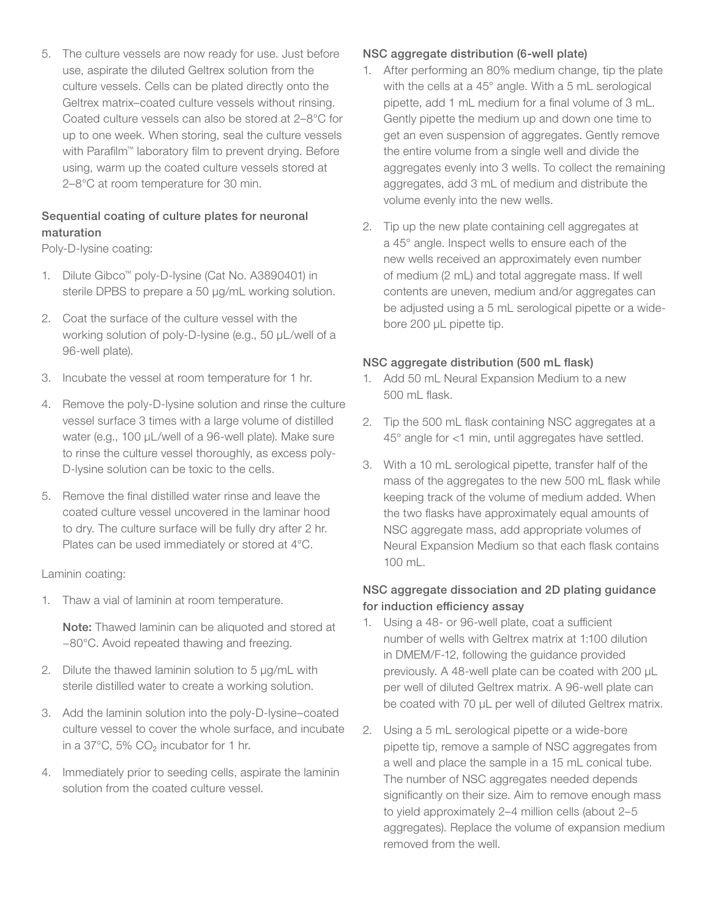5. The culture vessels are now ready for use. Just before use, aspirate the diluted Geltrex solution from the culture vessels. Cells can be plated directly onto the Geltrex matrix–coated culture vessels without rinsing. Coated culture vessels can also be stored at 2–8°C for up to one week. When storing, seal the culture vessels with Parafilm<sup>™</sup> laboratory film to prevent drying. Before using, warm up the coated culture vessels stored at 2–8°C at room temperature for 30 min.

#### Sequential coating of culture plates for neuronal maturation

Poly-D-lysine coating:

- 1. Dilute Gibco™ poly-D-lysine (Cat No. A3890401) in sterile DPBS to prepare a 50 µg/mL working solution.
- 2. Coat the surface of the culture vessel with the working solution of poly-D-lysine (e.g., 50 µL/well of a 96-well plate).
- 3. Incubate the vessel at room temperature for 1 hr.
- 4. Remove the poly-D-lysine solution and rinse the culture vessel surface 3 times with a large volume of distilled water (e.g., 100 µL/well of a 96-well plate). Make sure to rinse the culture vessel thoroughly, as excess poly-D-lysine solution can be toxic to the cells.
- 5. Remove the final distilled water rinse and leave the coated culture vessel uncovered in the laminar hood to dry. The culture surface will be fully dry after 2 hr. Plates can be used immediately or stored at 4°C.

#### Laminin coating:

1. Thaw a vial of laminin at room temperature.

Note: Thawed laminin can be aliquoted and stored at −80°C. Avoid repeated thawing and freezing.

- 2. Dilute the thawed laminin solution to 5 µg/mL with sterile distilled water to create a working solution.
- 3. Add the laminin solution into the poly-D-lysine–coated culture vessel to cover the whole surface, and incubate in a 37°C, 5% CO₂ incubator for 1 hr.
- 4. Immediately prior to seeding cells, aspirate the laminin solution from the coated culture vessel.

#### NSC aggregate distribution (6-well plate)

- 1. After performing an 80% medium change, tip the plate with the cells at a 45° angle. With a 5 mL serological pipette, add 1 mL medium for a final volume of 3 mL. Gently pipette the medium up and down one time to get an even suspension of aggregates. Gently remove the entire volume from a single well and divide the aggregates evenly into 3 wells. To collect the remaining aggregates, add 3 mL of medium and distribute the volume evenly into the new wells.
- 2. Tip up the new plate containing cell aggregates at a 45° angle. Inspect wells to ensure each of the new wells received an approximately even number of medium (2 mL) and total aggregate mass. If well contents are uneven, medium and/or aggregates can be adjusted using a 5 mL serological pipette or a widebore 200 µL pipette tip.

#### NSC aggregate distribution (500 mL flask)

- 1. Add 50 mL Neural Expansion Medium to a new 500 mL flask.
- 2. Tip the 500 mL flask containing NSC aggregates at a 45° angle for <1 min, until aggregates have settled.
- 3. With a 10 mL serological pipette, transfer half of the mass of the aggregates to the new 500 mL flask while keeping track of the volume of medium added. When the two flasks have approximately equal amounts of NSC aggregate mass, add appropriate volumes of Neural Expansion Medium so that each flask contains 100 mL.

#### NSC aggregate dissociation and 2D plating guidance for induction efficiency assay

- 1. Using a 48- or 96-well plate, coat a sufficient number of wells with Geltrex matrix at 1:100 dilution in DMEM/F-12, following the guidance provided previously. A 48-well plate can be coated with 200 µL per well of diluted Geltrex matrix. A 96-well plate can be coated with 70 µL per well of diluted Geltrex matrix.
- 2. Using a 5 mL serological pipette or a wide-bore pipette tip, remove a sample of NSC aggregates from a well and place the sample in a 15 mL conical tube. The number of NSC aggregates needed depends significantly on their size. Aim to remove enough mass to yield approximately 2–4 million cells (about 2–5 aggregates). Replace the volume of expansion medium removed from the well.